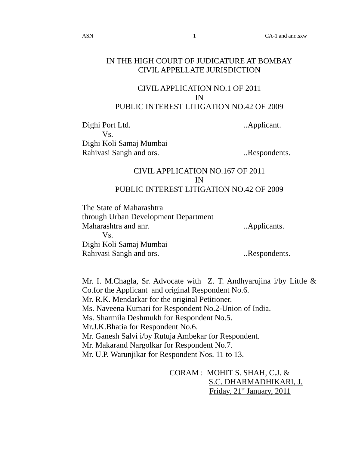## IN THE HIGH COURT OF JUDICATURE AT BOMBAY CIVIL APPELLATE JURISDICTION

## CIVIL APPLICATION NO.1 OF 2011 IN PUBLIC INTEREST LITIGATION NO.42 OF 2009

Dighi Port Ltd. ..Applicant. Vs. Dighi Koli Samaj Mumbai Rahivasi Sangh and ors. ..Respondents.

## CIVIL APPLICATION NO.167 OF 2011 IN PUBLIC INTEREST LITIGATION NO.42 OF 2009

The State of Maharashtra through Urban Development Department Maharashtra and anr. ..Applicants. Vs. Dighi Koli Samaj Mumbai Rahivasi Sangh and ors. ..Respondents.

Mr. I. M.Chagla, Sr. Advocate with Z. T. Andhyarujina i/by Little & Co.for the Applicant and original Respondent No.6. Mr. R.K. Mendarkar for the original Petitioner. Ms. Naveena Kumari for Respondent No.2-Union of India. Ms. Sharmila Deshmukh for Respondent No.5. Mr.J.K.Bhatia for Respondent No.6. Mr. Ganesh Salvi i/by Rutuja Ambekar for Respondent. Mr. Makarand Nargolkar for Respondent No.7. Mr. U.P. Warunjikar for Respondent Nos. 11 to 13.

> CORAM : MOHIT S. SHAH, C.J. & S.C. DHARMADHIKARI, J. Friday, 21<sup>st</sup> January, 2011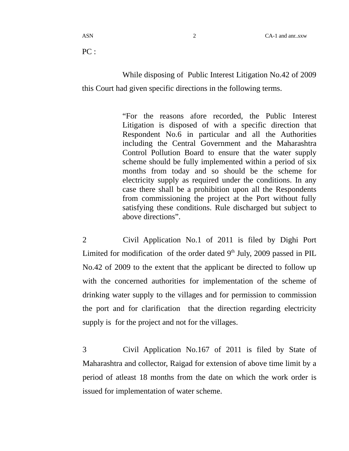$PC:$ 

While disposing of Public Interest Litigation No.42 of 2009 this Court had given specific directions in the following terms.

> "For the reasons afore recorded, the Public Interest Litigation is disposed of with a specific direction that Respondent No.6 in particular and all the Authorities including the Central Government and the Maharashtra Control Pollution Board to ensure that the water supply scheme should be fully implemented within a period of six months from today and so should be the scheme for electricity supply as required under the conditions. In any case there shall be a prohibition upon all the Respondents from commissioning the project at the Port without fully satisfying these conditions. Rule discharged but subject to above directions".

2 Civil Application No.1 of 2011 is filed by Dighi Port Limited for modification of the order dated  $9<sup>th</sup>$  July, 2009 passed in PIL No.42 of 2009 to the extent that the applicant be directed to follow up with the concerned authorities for implementation of the scheme of drinking water supply to the villages and for permission to commission the port and for clarification that the direction regarding electricity supply is for the project and not for the villages.

3 Civil Application No.167 of 2011 is filed by State of Maharashtra and collector, Raigad for extension of above time limit by a period of atleast 18 months from the date on which the work order is issued for implementation of water scheme.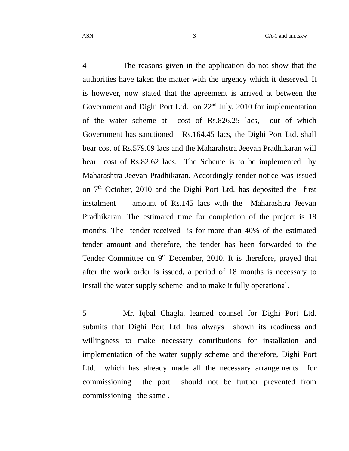4 The reasons given in the application do not show that the authorities have taken the matter with the urgency which it deserved. It is however, now stated that the agreement is arrived at between the Government and Dighi Port Ltd. on  $22<sup>nd</sup>$  July, 2010 for implementation of the water scheme at cost of Rs.826.25 lacs, out of which Government has sanctioned Rs.164.45 lacs, the Dighi Port Ltd. shall bear cost of Rs.579.09 lacs and the Maharahstra Jeevan Pradhikaran will bear cost of Rs.82.62 lacs. The Scheme is to be implemented by Maharashtra Jeevan Pradhikaran. Accordingly tender notice was issued on  $7<sup>th</sup>$  October, 2010 and the Dighi Port Ltd. has deposited the first instalment amount of Rs.145 lacs with the Maharashtra Jeevan Pradhikaran. The estimated time for completion of the project is 18 months. The tender received is for more than 40% of the estimated tender amount and therefore, the tender has been forwarded to the Tender Committee on  $9<sup>th</sup>$  December, 2010. It is therefore, prayed that after the work order is issued, a period of 18 months is necessary to install the water supply scheme and to make it fully operational.

5 Mr. Iqbal Chagla, learned counsel for Dighi Port Ltd. submits that Dighi Port Ltd. has always shown its readiness and willingness to make necessary contributions for installation and implementation of the water supply scheme and therefore, Dighi Port Ltd. which has already made all the necessary arrangements for commissioning the port should not be further prevented from commissioning the same .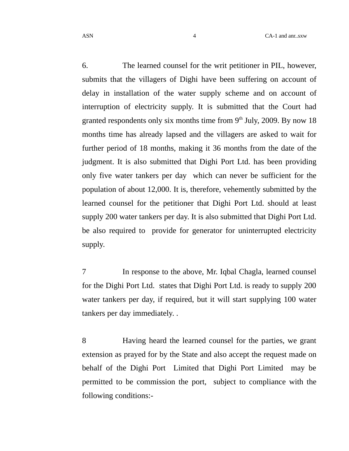6. The learned counsel for the writ petitioner in PIL, however, submits that the villagers of Dighi have been suffering on account of delay in installation of the water supply scheme and on account of interruption of electricity supply. It is submitted that the Court had granted respondents only six months time from  $9<sup>th</sup>$  July, 2009. By now 18 months time has already lapsed and the villagers are asked to wait for further period of 18 months, making it 36 months from the date of the judgment. It is also submitted that Dighi Port Ltd. has been providing only five water tankers per day which can never be sufficient for the population of about 12,000. It is, therefore, vehemently submitted by the learned counsel for the petitioner that Dighi Port Ltd. should at least supply 200 water tankers per day. It is also submitted that Dighi Port Ltd. be also required to provide for generator for uninterrupted electricity supply.

7 In response to the above, Mr. Iqbal Chagla, learned counsel for the Dighi Port Ltd. states that Dighi Port Ltd. is ready to supply 200 water tankers per day, if required, but it will start supplying 100 water tankers per day immediately. .

8 Having heard the learned counsel for the parties, we grant extension as prayed for by the State and also accept the request made on behalf of the Dighi Port Limited that Dighi Port Limited may be permitted to be commission the port, subject to compliance with the following conditions:-